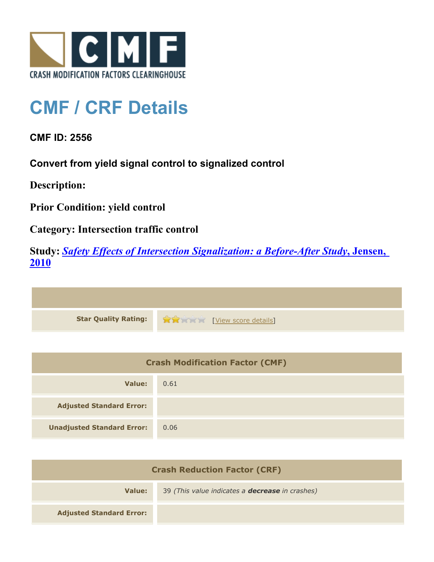

## **CMF / CRF Details**

**CMF ID: 2556**

**Convert from yield signal control to signalized control**

**Description:** 

**Prior Condition: yield control**

**Category: Intersection traffic control**

**Study:** *[Safety Effects of Intersection Signalization: a Before-After Study](http://www.cmfclearinghouse.org/study_detail.cfm?stid=170)***[, Jensen,](http://www.cmfclearinghouse.org/study_detail.cfm?stid=170) [2010](http://www.cmfclearinghouse.org/study_detail.cfm?stid=170)**



| <b>Crash Modification Factor (CMF)</b> |      |
|----------------------------------------|------|
| Value:                                 | 0.61 |
| <b>Adjusted Standard Error:</b>        |      |
| <b>Unadjusted Standard Error:</b>      | 0.06 |

| <b>Crash Reduction Factor (CRF)</b> |                                                        |
|-------------------------------------|--------------------------------------------------------|
| Value:                              | 39 (This value indicates a <b>decrease</b> in crashes) |
| <b>Adjusted Standard Error:</b>     |                                                        |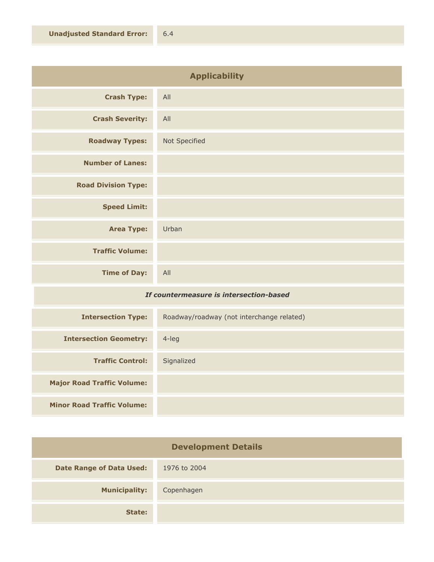| <b>Applicability</b>       |               |
|----------------------------|---------------|
| <b>Crash Type:</b>         | All           |
| <b>Crash Severity:</b>     | All           |
| <b>Roadway Types:</b>      | Not Specified |
| <b>Number of Lanes:</b>    |               |
| <b>Road Division Type:</b> |               |
| <b>Speed Limit:</b>        |               |
| <b>Area Type:</b>          | Urban         |
| <b>Traffic Volume:</b>     |               |
| <b>Time of Day:</b>        | All           |

## *If countermeasure is intersection-based*

| <b>Intersection Type:</b>         | Roadway/roadway (not interchange related) |
|-----------------------------------|-------------------------------------------|
| <b>Intersection Geometry:</b>     | $4$ -leg                                  |
| <b>Traffic Control:</b>           | Signalized                                |
| <b>Major Road Traffic Volume:</b> |                                           |
| <b>Minor Road Traffic Volume:</b> |                                           |

| <b>Development Details</b>      |              |
|---------------------------------|--------------|
| <b>Date Range of Data Used:</b> | 1976 to 2004 |
| <b>Municipality:</b>            | Copenhagen   |
| State:                          |              |